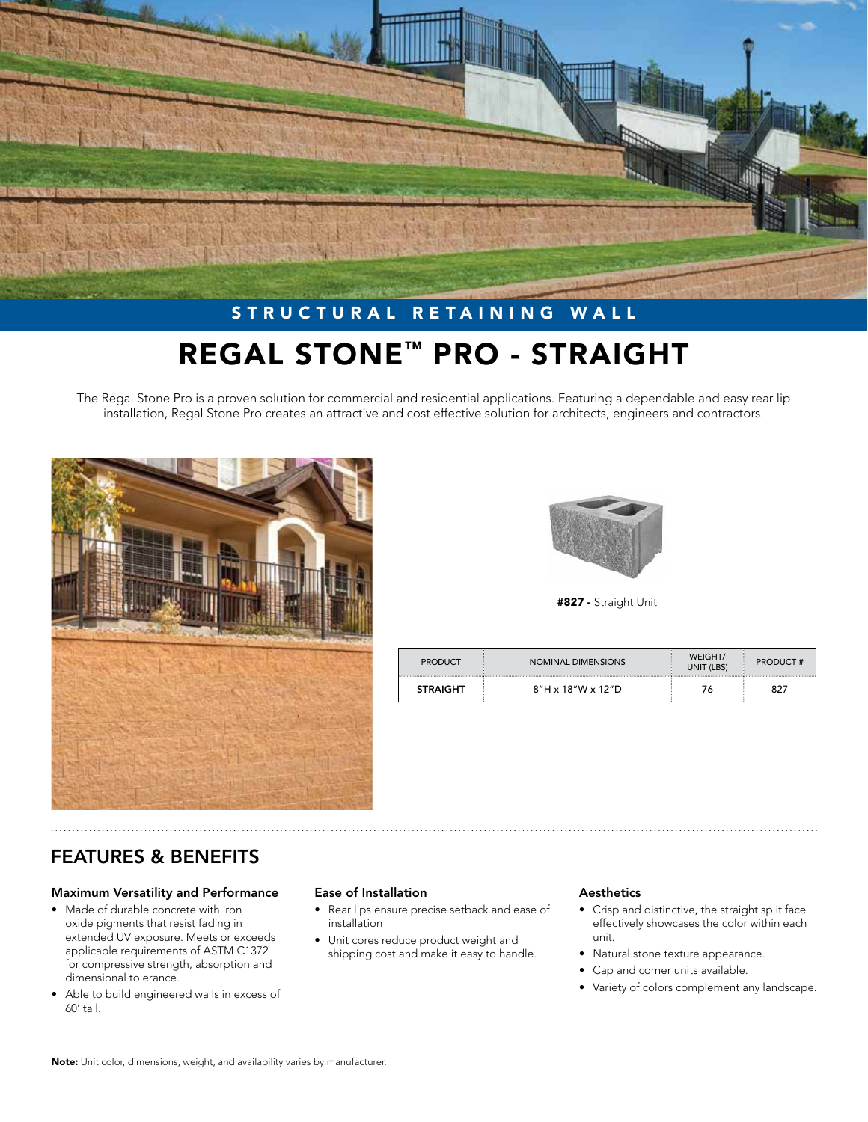

# STRUCTURAL RETAINING WALL REGAL STONE™ PRO - STRAIGHT

The Regal Stone Pro is a proven solution for commercial and residential applications. Featuring a dependable and easy rear lip installation, Regal Stone Pro creates an attractive and cost effective solution for architects, engineers and contractors.





#827 - Straight Unit

| <b>PRODUCT</b>  | NOMINAL DIMENSIONS               | WEIGHT/<br>UNIT (LBS) | <b>PRODUCT#</b> |
|-----------------|----------------------------------|-----------------------|-----------------|
| <b>STRAIGHT</b> | $8''H \times 18''W \times 12''D$ |                       | 827             |

## FEATURES & BENEFITS

#### Maximum Versatility and Performance

- Made of durable concrete with iron oxide pigments that resist fading in extended UV exposure. Meets or exceeds applicable requirements of ASTM C1372 for compressive strength, absorption and dimensional tolerance.
- Able to build engineered walls in excess of 60' tall.

#### Ease of Installation

- Rear lips ensure precise setback and ease of installation
- Unit cores reduce product weight and shipping cost and make it easy to handle.

#### Aesthetics

- Crisp and distinctive, the straight split face effectively showcases the color within each unit.
- Natural stone texture appearance.
- Cap and corner units available.
- Variety of colors complement any landscape.